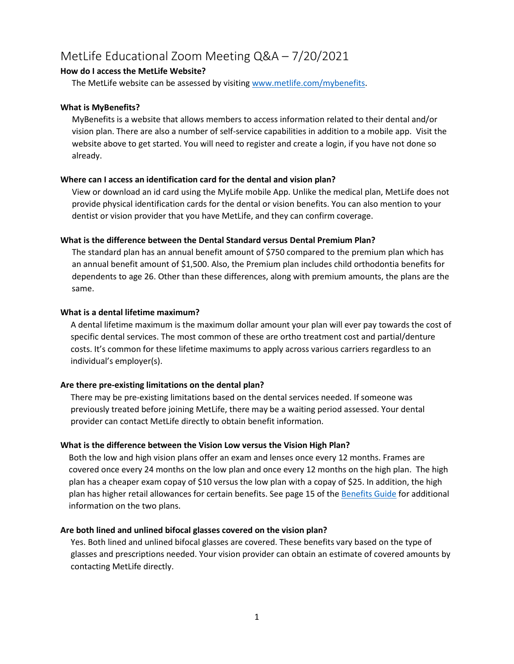# MetLife Educational Zoom Meeting Q&A – 7/20/2021

# **How do I access the MetLife Website?**

The MetLife website can be assessed by visiting [www.metlife.com/mybenefits.](http://www.metlife.com/mybenefits)

## **What is MyBenefits?**

MyBenefits is a website that allows members to access information related to their dental and/or vision plan. There are also a number of self-service capabilities in addition to a mobile app. Visit the website above to get started. You will need to register and create a login, if you have not done so already.

## **Where can I access an identification card for the dental and vision plan?**

View or download an id card using the MyLife mobile App. Unlike the medical plan, MetLife does not provide physical identification cards for the dental or vision benefits. You can also mention to your dentist or vision provider that you have MetLife, and they can confirm coverage.

## **What is the difference between the Dental Standard versus Dental Premium Plan?**

The standard plan has an annual benefit amount of \$750 compared to the premium plan which has an annual benefit amount of \$1,500. Also, the Premium plan includes child orthodontia benefits for dependents to age 26. Other than these differences, along with premium amounts, the plans are the same.

## **What is a dental lifetime maximum?**

A dental lifetime maximum is the maximum dollar amount your plan will ever pay towards the cost of specific dental services. The most common of these are ortho treatment cost and partial/denture costs. It's common for these lifetime maximums to apply across various carriers regardless to an individual's employer(s).

#### **Are there pre-existing limitations on the dental plan?**

There may be pre-existing limitations based on the dental services needed. If someone was previously treated before joining MetLife, there may be a waiting period assessed. Your dental provider can contact MetLife directly to obtain benefit information.

#### **What is the difference between the Vision Low versus the Vision High Plan?**

Both the low and high vision plans offer an exam and lenses once every 12 months. Frames are covered once every 24 months on the low plan and once every 12 months on the high plan. The high plan has a cheaper exam copay of \$10 versus the low plan with a copay of \$25. In addition, the high plan has higher retail allowances for certain benefits. See page 15 of the [Benefits Guide](https://www.furman.edu/offices-services/human-resources/wp-content/uploads/sites/63/2020/10/2021-Benefits-Guide.pdf) for additional information on the two plans.

#### **Are both lined and unlined bifocal glasses covered on the vision plan?**

Yes. Both lined and unlined bifocal glasses are covered. These benefits vary based on the type of glasses and prescriptions needed. Your vision provider can obtain an estimate of covered amounts by contacting MetLife directly.